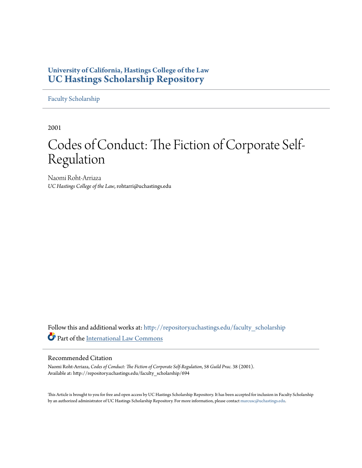## **University of California, Hastings College of the Law [UC Hastings Scholarship Repository](http://repository.uchastings.edu?utm_source=repository.uchastings.edu%2Ffaculty_scholarship%2F694&utm_medium=PDF&utm_campaign=PDFCoverPages)**

[Faculty Scholarship](http://repository.uchastings.edu/faculty_scholarship?utm_source=repository.uchastings.edu%2Ffaculty_scholarship%2F694&utm_medium=PDF&utm_campaign=PDFCoverPages)

2001

# Codes of Conduct: The Fiction of Corporate Self-Regulation

Naomi Roht-Arriaza *UC Hastings College of the Law*, rohtarri@uchastings.edu

Follow this and additional works at: [http://repository.uchastings.edu/faculty\\_scholarship](http://repository.uchastings.edu/faculty_scholarship?utm_source=repository.uchastings.edu%2Ffaculty_scholarship%2F694&utm_medium=PDF&utm_campaign=PDFCoverPages) Part of the [International Law Commons](http://network.bepress.com/hgg/discipline/609?utm_source=repository.uchastings.edu%2Ffaculty_scholarship%2F694&utm_medium=PDF&utm_campaign=PDFCoverPages)

#### Recommended Citation

Naomi Roht-Arriaza, *Codes of Conduct: The Fiction of Corporate Self-Regulation*, 58 *Guild Prac.* 38 (2001). Available at: http://repository.uchastings.edu/faculty\_scholarship/694

This Article is brought to you for free and open access by UC Hastings Scholarship Repository. It has been accepted for inclusion in Faculty Scholarship by an authorized administrator of UC Hastings Scholarship Repository. For more information, please contact [marcusc@uchastings.edu](mailto:marcusc@uchastings.edu).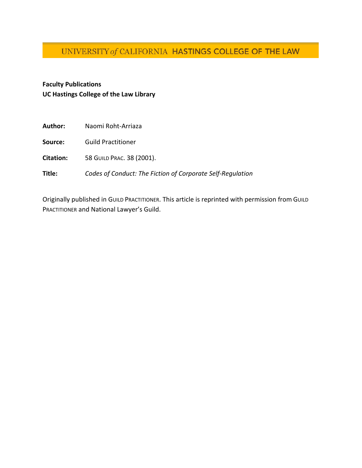## UNIVERSITY of CALIFORNIA HASTINGS COLLEGE OF THE LAW

## **Faculty Publications UC Hastings College of the Law Library**

| Author:          | Naomi Roht-Arriaza                                         |
|------------------|------------------------------------------------------------|
| Source:          | <b>Guild Practitioner</b>                                  |
| <b>Citation:</b> | 58 GUILD PRAC. 38 (2001).                                  |
| Title:           | Codes of Conduct: The Fiction of Corporate Self-Regulation |
|                  |                                                            |

Originally published in GUILD PRACTITIONER. This article is reprinted with permission from GUILD PRACTITIONER and National Lawyer's Guild.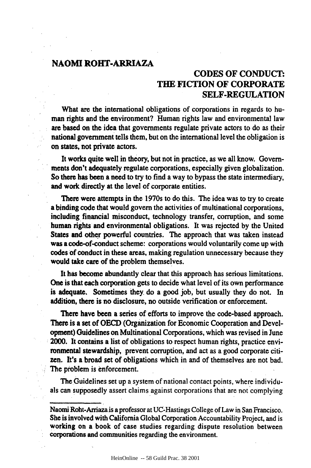#### **NAOMI ROHT-ARRIAZA**

### **CODES OF CONDUCT: THE FICTION OF CORPORATE SELF-REGULATION**

What are the international obligations of corporations in regards to human rights and the environment? Human rights law and environmental law are based on the idea that governments regulate private actors to do as their national government tells them, but on the international level the obligation is on states, not private actors.

It works quite well in theory, but not in practice, as we all know. Governments don't adequately regulate corporations, especially given globalization. So there has been a need to try to find a way to bypass the state intermediary, and work directly at the level of corporate entities.

**There** were attempts in the 1970s to do this. The idea was to try to create a binding code that would govern the activities of multinational corporations, including financial misconduct, technology transfer, corruption, and some human rights and environmental obligations. It was rejected **by** the United States and other powerful countries. The approach that was taken instead was a code-of-conduct scheme: corporations would voluntarily come up with codes of conduct in these areas, making regulation unnecessary because they would take care of the problem themselves.

It has become abundantly clear that this approach has serious limitations. One is that each corporation gets to decide what level of its own performance is adequate. Sometimes they do a good **job,** but usually they do not. In addition, there is no disclosure, no outside verification or enforcement.

**There** have been a series of efforts to improve the code-based approach. There is a set of **OECD** (Organization for Economic Cooperation and Development) Guidelines on Multinational Corporations, which was revised in June 2000. It contains a list of obligations to respect human rights, practice environmental stewardship, prevent corruption, and act as a good corporate citizen. It's a broad set of obligations which in and of themselves are not bad. The problem is enforcement.

The Guidelines set up a system of national contact points, where individuals can supposedly assert claims against corporations that are not complying

Naomi Roht-Arriaza is a professor at UC-Hastings College of Law in San Francisco. She is involved with California Global Corporation Accountability Project, and is working on a book of case studies regarding dispute resolution between corporations and communities regarding the environment.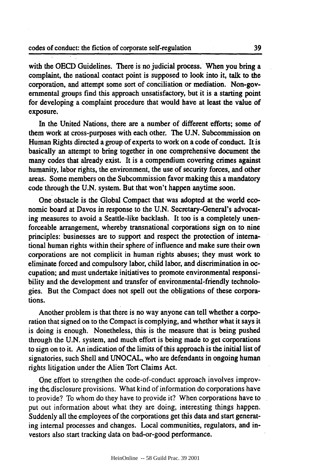with the **OECD** Guidelines. There is no judicial process. When you bring a complaint, the national contact point is supposed to look into it, talk to the corporation, and attempt some sort of conciliation or mediation. Non-governmental groups find this approach unsatisfactory, but it is a starting point for developing a complaint procedure that would have at least the value of exposure.

In the United Nations, there are a number of different efforts; some of them work at cross-purposes with each other. The U.N. Subcommission on Human Rights directed a group of experts to work on a code of conduct. It is basically an attempt to bring together in one comprehensive document the many codes that already exist. It is a compendium covering crimes against humanity, labor rights, the environment, the use of security forces, and other areas. Some members on the Subcommission favor making this a mandatory code through the U.N. system. But that won't happen anytime soon.

One obstacle is the Global Compact that was adopted at the world economic board at Davos in response to the U.N. Secretary-General's advocating measures to avoid a Seattle-like backlash. It too is a completely unenforceable arrangement, whereby transnational corporations sign on to nine principles: businesses are to support and respect the protection of international human rights within their sphere of influence and make sure their own corporations are not complicit in human rights abuses; they must work to eliminate forced and compulsory labor, child labor, and discrimination in occupation; and must undertake initiatives to promote environmental responsibility and the development and transfer of environmental-friendly technologies. But the Compact does not spell out the obligations of these corporations.

Another problem is that there is no way anyone can tell whether a corporation that signed on to the Compact is complying, and whether what it says it is doing is enough. Nonetheless, this is the measure that is being pushed through the U.N. system, and much effort is being made to get corporations to sign on to it. An indication of the limits of this approach is the initial list of signatories, such Shell and UNOCAL, who are defendants in ongoing human rights litigation under the Alien Tort Claims Act.

One effort to strengthen the code-of-conduct approach involves improv**ing** the. disclosure provisions. What kind of information do corporations have to provide? To whom do they have to provide it? When corporations have to put out information about what they are doing, interesting things happen. Suddenly all the employees of the corporations get this data and start generating internal processes and changes. Local communities, regulators, and investors also start tracking data on bad-or-good performance.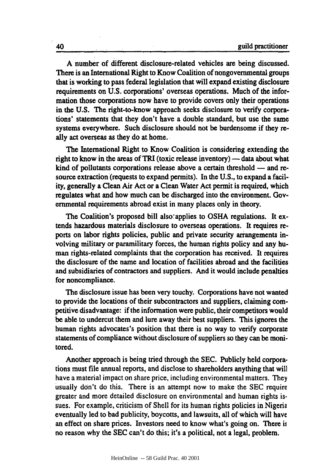**A** number of different disclosure-related vehicles are being discussed. There is an International Right to Know Coalition of nongovernmental groups that is working to pass federal legislation that will expand existing disclosure requirements on **U.S.** corporations' overseas operations. Much of the information those corporations now have to provide covers only their operations in the **U.S.** The right-to-know approach seeks disclosure to verify corporations' statements that they don't have a double standard, but use the same systems everywhere. Such disclosure should not be burdensome if they really act overseas as they do at home.

The International Right to Know Coalition is considering extending the right to know in the areas of TRI (toxic release inventory) — data about what kind of pollutants corporations release above a certain threshold — and resource extraction (requests to expand permits). In the **U.S.,** to expand a facility, generally a Clean Air Act or a Clean Water Act permit is required, which regulates what and how much can be discharged into the environment. Governmental requirements abroad exist in many places only in theory.

The Coalition's proposed bill also applies to OSHA regulations. It extends hazardous materials disclosure to overseas operations. It requires reports on labor rights policies, public and private security arrangements involving military or paramilitary forces, the human rights policy and any human rights-related complaints that the corporation has received. It requires the disclosure of the name and location of facilities abroad and the facilities and subsidiaries of contractors and suppliers. And it would include penalties for noncompliance.

The disclosure issue has been very touchy. Corporations have not wanted to provide the locations **of** their subcontractors and suppliers, claiming competitive disadvantage: if the information were public, their competitors would be able to undercut them and lure away their best suppliers. This ignores the human rights advocates's position that there is no way to verify corporate statements of compliance without disclosure of suppliers so they can be monitored.

Another approach is being tried through the **SEC.** Publicly held corporations must file annual reports, and disclose to shareholders anything that will have a material impact on share price, including environmental matters. They usually don't do this. There is an attempt now to make the **SEC** require greater and more detailed disclosure on environmental and human rights **is**sues. For example, criticism of Shell for its human rights policies in Nigeria eventually led to bad publicity, boycotts, and lawsuits, all of which will have an effect on share prices. Investors need to know what's going on. There is no reason why the **SEC** can't do this; it's a political, not a legal, problem.